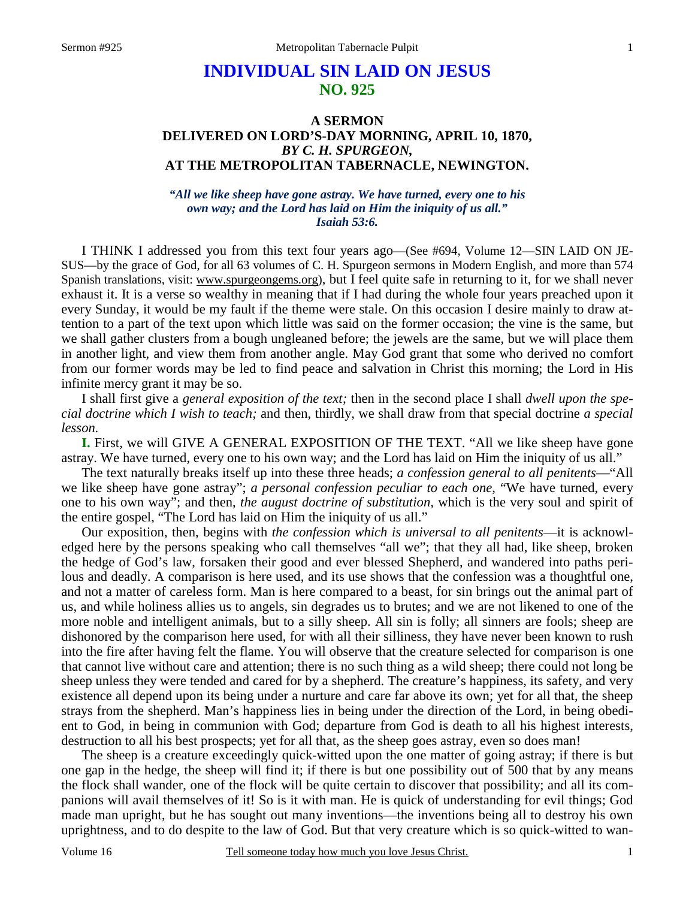# **INDIVIDUAL SIN LAID ON JESUS NO. 925**

## **A SERMON DELIVERED ON LORD'S-DAY MORNING, APRIL 10, 1870,**  *BY C. H. SPURGEON,*  **AT THE METROPOLITAN TABERNACLE, NEWINGTON.**

#### *"All we like sheep have gone astray. We have turned, every one to his own way; and the Lord has laid on Him the iniquity of us all." Isaiah 53:6.*

I THINK I addressed you from this text four years ago—(See #694, Volume 12—SIN LAID ON JE-SUS—by the grace of God, for all 63 volumes of C. H. Spurgeon sermons in Modern English, and more than 574 Spanish translations, visit: www.spurgeongems.org), but I feel quite safe in returning to it, for we shall never exhaust it. It is a verse so wealthy in meaning that if I had during the whole four years preached upon it every Sunday, it would be my fault if the theme were stale. On this occasion I desire mainly to draw attention to a part of the text upon which little was said on the former occasion; the vine is the same, but we shall gather clusters from a bough ungleaned before; the jewels are the same, but we will place them in another light, and view them from another angle. May God grant that some who derived no comfort from our former words may be led to find peace and salvation in Christ this morning; the Lord in His infinite mercy grant it may be so.

I shall first give a *general exposition of the text;* then in the second place I shall *dwell upon the special doctrine which I wish to teach;* and then, thirdly, we shall draw from that special doctrine *a special lesson.*

**I.** First, we will GIVE A GENERAL EXPOSITION OF THE TEXT. "All we like sheep have gone astray. We have turned, every one to his own way; and the Lord has laid on Him the iniquity of us all."

The text naturally breaks itself up into these three heads; *a confession general to all penitents*—"All we like sheep have gone astray"; *a personal confession peculiar to each one,* "We have turned, every one to his own way"; and then, *the august doctrine of substitution,* which is the very soul and spirit of the entire gospel, "The Lord has laid on Him the iniquity of us all."

Our exposition, then, begins with *the confession which is universal to all penitents*—it is acknowledged here by the persons speaking who call themselves "all we"; that they all had, like sheep, broken the hedge of God's law, forsaken their good and ever blessed Shepherd, and wandered into paths perilous and deadly. A comparison is here used, and its use shows that the confession was a thoughtful one, and not a matter of careless form. Man is here compared to a beast, for sin brings out the animal part of us, and while holiness allies us to angels, sin degrades us to brutes; and we are not likened to one of the more noble and intelligent animals, but to a silly sheep. All sin is folly; all sinners are fools; sheep are dishonored by the comparison here used, for with all their silliness, they have never been known to rush into the fire after having felt the flame. You will observe that the creature selected for comparison is one that cannot live without care and attention; there is no such thing as a wild sheep; there could not long be sheep unless they were tended and cared for by a shepherd. The creature's happiness, its safety, and very existence all depend upon its being under a nurture and care far above its own; yet for all that, the sheep strays from the shepherd. Man's happiness lies in being under the direction of the Lord, in being obedient to God, in being in communion with God; departure from God is death to all his highest interests, destruction to all his best prospects; yet for all that, as the sheep goes astray, even so does man!

The sheep is a creature exceedingly quick-witted upon the one matter of going astray; if there is but one gap in the hedge, the sheep will find it; if there is but one possibility out of 500 that by any means the flock shall wander, one of the flock will be quite certain to discover that possibility; and all its companions will avail themselves of it! So is it with man. He is quick of understanding for evil things; God made man upright, but he has sought out many inventions—the inventions being all to destroy his own uprightness, and to do despite to the law of God. But that very creature which is so quick-witted to wan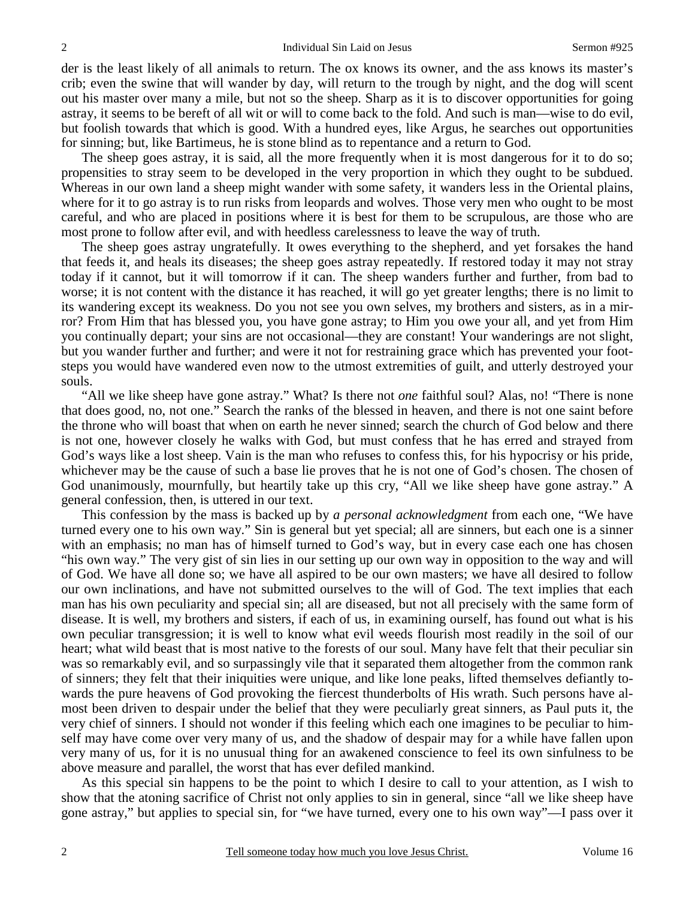der is the least likely of all animals to return. The ox knows its owner, and the ass knows its master's crib; even the swine that will wander by day, will return to the trough by night, and the dog will scent out his master over many a mile, but not so the sheep. Sharp as it is to discover opportunities for going astray, it seems to be bereft of all wit or will to come back to the fold. And such is man—wise to do evil, but foolish towards that which is good. With a hundred eyes, like Argus, he searches out opportunities for sinning; but, like Bartimeus, he is stone blind as to repentance and a return to God.

The sheep goes astray, it is said, all the more frequently when it is most dangerous for it to do so; propensities to stray seem to be developed in the very proportion in which they ought to be subdued. Whereas in our own land a sheep might wander with some safety, it wanders less in the Oriental plains, where for it to go astray is to run risks from leopards and wolves. Those very men who ought to be most careful, and who are placed in positions where it is best for them to be scrupulous, are those who are most prone to follow after evil, and with heedless carelessness to leave the way of truth.

The sheep goes astray ungratefully. It owes everything to the shepherd, and yet forsakes the hand that feeds it, and heals its diseases; the sheep goes astray repeatedly. If restored today it may not stray today if it cannot, but it will tomorrow if it can. The sheep wanders further and further, from bad to worse; it is not content with the distance it has reached, it will go yet greater lengths; there is no limit to its wandering except its weakness. Do you not see you own selves, my brothers and sisters, as in a mirror? From Him that has blessed you, you have gone astray; to Him you owe your all, and yet from Him you continually depart; your sins are not occasional—they are constant! Your wanderings are not slight, but you wander further and further; and were it not for restraining grace which has prevented your footsteps you would have wandered even now to the utmost extremities of guilt, and utterly destroyed your souls.

"All we like sheep have gone astray." What? Is there not *one* faithful soul? Alas, no! "There is none that does good, no, not one." Search the ranks of the blessed in heaven, and there is not one saint before the throne who will boast that when on earth he never sinned; search the church of God below and there is not one, however closely he walks with God, but must confess that he has erred and strayed from God's ways like a lost sheep. Vain is the man who refuses to confess this, for his hypocrisy or his pride, whichever may be the cause of such a base lie proves that he is not one of God's chosen. The chosen of God unanimously, mournfully, but heartily take up this cry, "All we like sheep have gone astray." A general confession, then, is uttered in our text.

This confession by the mass is backed up by *a personal acknowledgment* from each one, "We have turned every one to his own way." Sin is general but yet special; all are sinners, but each one is a sinner with an emphasis; no man has of himself turned to God's way, but in every case each one has chosen "his own way." The very gist of sin lies in our setting up our own way in opposition to the way and will of God. We have all done so; we have all aspired to be our own masters; we have all desired to follow our own inclinations, and have not submitted ourselves to the will of God. The text implies that each man has his own peculiarity and special sin; all are diseased, but not all precisely with the same form of disease. It is well, my brothers and sisters, if each of us, in examining ourself, has found out what is his own peculiar transgression; it is well to know what evil weeds flourish most readily in the soil of our heart; what wild beast that is most native to the forests of our soul. Many have felt that their peculiar sin was so remarkably evil, and so surpassingly vile that it separated them altogether from the common rank of sinners; they felt that their iniquities were unique, and like lone peaks, lifted themselves defiantly towards the pure heavens of God provoking the fiercest thunderbolts of His wrath. Such persons have almost been driven to despair under the belief that they were peculiarly great sinners, as Paul puts it, the very chief of sinners. I should not wonder if this feeling which each one imagines to be peculiar to himself may have come over very many of us, and the shadow of despair may for a while have fallen upon very many of us, for it is no unusual thing for an awakened conscience to feel its own sinfulness to be above measure and parallel, the worst that has ever defiled mankind.

As this special sin happens to be the point to which I desire to call to your attention, as I wish to show that the atoning sacrifice of Christ not only applies to sin in general, since "all we like sheep have gone astray," but applies to special sin, for "we have turned, every one to his own way"—I pass over it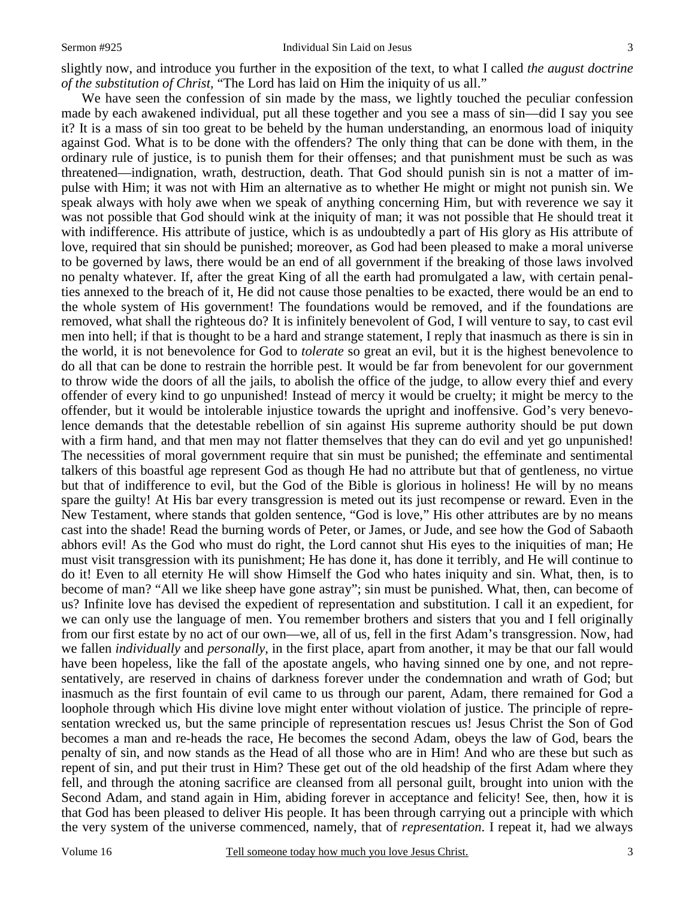slightly now, and introduce you further in the exposition of the text, to what I called *the august doctrine of the substitution of Christ,* "The Lord has laid on Him the iniquity of us all."

We have seen the confession of sin made by the mass, we lightly touched the peculiar confession made by each awakened individual, put all these together and you see a mass of sin—did I say you see it? It is a mass of sin too great to be beheld by the human understanding, an enormous load of iniquity against God. What is to be done with the offenders? The only thing that can be done with them, in the ordinary rule of justice, is to punish them for their offenses; and that punishment must be such as was threatened—indignation, wrath, destruction, death. That God should punish sin is not a matter of impulse with Him; it was not with Him an alternative as to whether He might or might not punish sin. We speak always with holy awe when we speak of anything concerning Him, but with reverence we say it was not possible that God should wink at the iniquity of man; it was not possible that He should treat it with indifference. His attribute of justice, which is as undoubtedly a part of His glory as His attribute of love, required that sin should be punished; moreover, as God had been pleased to make a moral universe to be governed by laws, there would be an end of all government if the breaking of those laws involved no penalty whatever. If, after the great King of all the earth had promulgated a law, with certain penalties annexed to the breach of it, He did not cause those penalties to be exacted, there would be an end to the whole system of His government! The foundations would be removed, and if the foundations are removed, what shall the righteous do? It is infinitely benevolent of God, I will venture to say, to cast evil men into hell; if that is thought to be a hard and strange statement, I reply that inasmuch as there is sin in the world, it is not benevolence for God to *tolerate* so great an evil, but it is the highest benevolence to do all that can be done to restrain the horrible pest. It would be far from benevolent for our government to throw wide the doors of all the jails, to abolish the office of the judge, to allow every thief and every offender of every kind to go unpunished! Instead of mercy it would be cruelty; it might be mercy to the offender, but it would be intolerable injustice towards the upright and inoffensive. God's very benevolence demands that the detestable rebellion of sin against His supreme authority should be put down with a firm hand, and that men may not flatter themselves that they can do evil and yet go unpunished! The necessities of moral government require that sin must be punished; the effeminate and sentimental talkers of this boastful age represent God as though He had no attribute but that of gentleness, no virtue but that of indifference to evil, but the God of the Bible is glorious in holiness! He will by no means spare the guilty! At His bar every transgression is meted out its just recompense or reward. Even in the New Testament, where stands that golden sentence, "God is love," His other attributes are by no means cast into the shade! Read the burning words of Peter, or James, or Jude, and see how the God of Sabaoth abhors evil! As the God who must do right, the Lord cannot shut His eyes to the iniquities of man; He must visit transgression with its punishment; He has done it, has done it terribly, and He will continue to do it! Even to all eternity He will show Himself the God who hates iniquity and sin. What, then, is to become of man? "All we like sheep have gone astray"; sin must be punished. What, then, can become of us? Infinite love has devised the expedient of representation and substitution. I call it an expedient, for we can only use the language of men. You remember brothers and sisters that you and I fell originally from our first estate by no act of our own—we, all of us, fell in the first Adam's transgression. Now, had we fallen *individually* and *personally*, in the first place, apart from another, it may be that our fall would have been hopeless, like the fall of the apostate angels, who having sinned one by one, and not representatively, are reserved in chains of darkness forever under the condemnation and wrath of God; but inasmuch as the first fountain of evil came to us through our parent, Adam, there remained for God a loophole through which His divine love might enter without violation of justice. The principle of representation wrecked us, but the same principle of representation rescues us! Jesus Christ the Son of God becomes a man and re-heads the race, He becomes the second Adam, obeys the law of God, bears the penalty of sin, and now stands as the Head of all those who are in Him! And who are these but such as repent of sin, and put their trust in Him? These get out of the old headship of the first Adam where they fell, and through the atoning sacrifice are cleansed from all personal guilt, brought into union with the Second Adam, and stand again in Him, abiding forever in acceptance and felicity! See, then, how it is that God has been pleased to deliver His people. It has been through carrying out a principle with which the very system of the universe commenced, namely, that of *representation*. I repeat it, had we always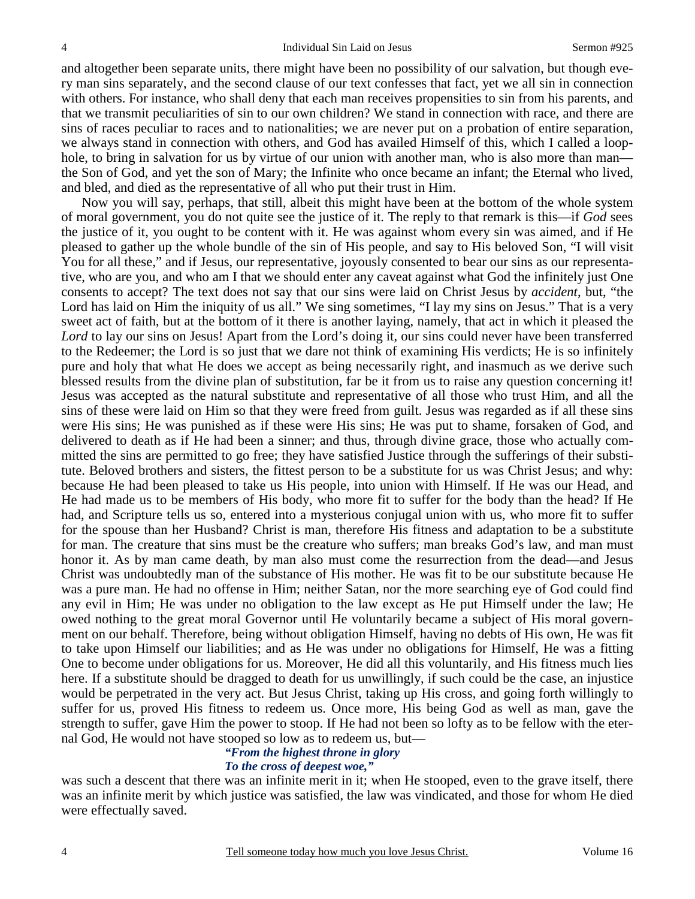and altogether been separate units, there might have been no possibility of our salvation, but though every man sins separately, and the second clause of our text confesses that fact, yet we all sin in connection with others. For instance, who shall deny that each man receives propensities to sin from his parents, and that we transmit peculiarities of sin to our own children? We stand in connection with race, and there are sins of races peculiar to races and to nationalities; we are never put on a probation of entire separation, we always stand in connection with others, and God has availed Himself of this, which I called a loophole, to bring in salvation for us by virtue of our union with another man, who is also more than man the Son of God, and yet the son of Mary; the Infinite who once became an infant; the Eternal who lived, and bled, and died as the representative of all who put their trust in Him.

Now you will say, perhaps, that still, albeit this might have been at the bottom of the whole system of moral government, you do not quite see the justice of it. The reply to that remark is this—if *God* sees the justice of it, you ought to be content with it. He was against whom every sin was aimed, and if He pleased to gather up the whole bundle of the sin of His people, and say to His beloved Son, "I will visit You for all these," and if Jesus, our representative, joyously consented to bear our sins as our representative, who are you, and who am I that we should enter any caveat against what God the infinitely just One consents to accept? The text does not say that our sins were laid on Christ Jesus by *accident*, but, "the Lord has laid on Him the iniquity of us all." We sing sometimes, "I lay my sins on Jesus." That is a very sweet act of faith, but at the bottom of it there is another laying, namely, that act in which it pleased the *Lord* to lay our sins on Jesus! Apart from the Lord's doing it, our sins could never have been transferred to the Redeemer; the Lord is so just that we dare not think of examining His verdicts; He is so infinitely pure and holy that what He does we accept as being necessarily right, and inasmuch as we derive such blessed results from the divine plan of substitution, far be it from us to raise any question concerning it! Jesus was accepted as the natural substitute and representative of all those who trust Him, and all the sins of these were laid on Him so that they were freed from guilt. Jesus was regarded as if all these sins were His sins; He was punished as if these were His sins; He was put to shame, forsaken of God, and delivered to death as if He had been a sinner; and thus, through divine grace, those who actually committed the sins are permitted to go free; they have satisfied Justice through the sufferings of their substitute. Beloved brothers and sisters, the fittest person to be a substitute for us was Christ Jesus; and why: because He had been pleased to take us His people, into union with Himself. If He was our Head, and He had made us to be members of His body, who more fit to suffer for the body than the head? If He had, and Scripture tells us so, entered into a mysterious conjugal union with us, who more fit to suffer for the spouse than her Husband? Christ is man, therefore His fitness and adaptation to be a substitute for man. The creature that sins must be the creature who suffers; man breaks God's law, and man must honor it. As by man came death, by man also must come the resurrection from the dead—and Jesus Christ was undoubtedly man of the substance of His mother. He was fit to be our substitute because He was a pure man. He had no offense in Him; neither Satan, nor the more searching eye of God could find any evil in Him; He was under no obligation to the law except as He put Himself under the law; He owed nothing to the great moral Governor until He voluntarily became a subject of His moral government on our behalf. Therefore, being without obligation Himself, having no debts of His own, He was fit to take upon Himself our liabilities; and as He was under no obligations for Himself, He was a fitting One to become under obligations for us. Moreover, He did all this voluntarily, and His fitness much lies here. If a substitute should be dragged to death for us unwillingly, if such could be the case, an injustice would be perpetrated in the very act. But Jesus Christ, taking up His cross, and going forth willingly to suffer for us, proved His fitness to redeem us. Once more, His being God as well as man, gave the strength to suffer, gave Him the power to stoop. If He had not been so lofty as to be fellow with the eternal God, He would not have stooped so low as to redeem us, but—

# *"From the highest throne in glory*

### *To the cross of deepest woe,"*

was such a descent that there was an infinite merit in it; when He stooped, even to the grave itself, there was an infinite merit by which justice was satisfied, the law was vindicated, and those for whom He died were effectually saved.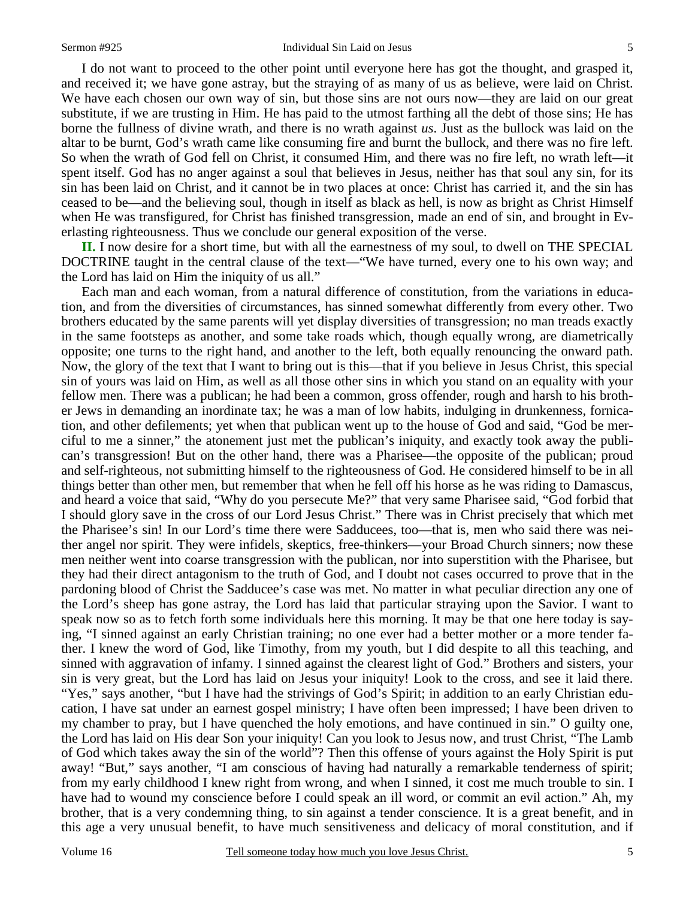I do not want to proceed to the other point until everyone here has got the thought, and grasped it, and received it; we have gone astray, but the straying of as many of us as believe, were laid on Christ. We have each chosen our own way of sin, but those sins are not ours now—they are laid on our great substitute, if we are trusting in Him. He has paid to the utmost farthing all the debt of those sins; He has borne the fullness of divine wrath, and there is no wrath against *us*. Just as the bullock was laid on the altar to be burnt, God's wrath came like consuming fire and burnt the bullock, and there was no fire left. So when the wrath of God fell on Christ, it consumed Him, and there was no fire left, no wrath left—it spent itself. God has no anger against a soul that believes in Jesus, neither has that soul any sin, for its sin has been laid on Christ, and it cannot be in two places at once: Christ has carried it, and the sin has ceased to be—and the believing soul, though in itself as black as hell, is now as bright as Christ Himself when He was transfigured, for Christ has finished transgression, made an end of sin, and brought in Everlasting righteousness. Thus we conclude our general exposition of the verse.

**II.** I now desire for a short time, but with all the earnestness of my soul, to dwell on THE SPECIAL DOCTRINE taught in the central clause of the text—"We have turned, every one to his own way; and the Lord has laid on Him the iniquity of us all."

Each man and each woman, from a natural difference of constitution, from the variations in education, and from the diversities of circumstances, has sinned somewhat differently from every other. Two brothers educated by the same parents will yet display diversities of transgression; no man treads exactly in the same footsteps as another, and some take roads which, though equally wrong, are diametrically opposite; one turns to the right hand, and another to the left, both equally renouncing the onward path. Now, the glory of the text that I want to bring out is this—that if you believe in Jesus Christ, this special sin of yours was laid on Him, as well as all those other sins in which you stand on an equality with your fellow men. There was a publican; he had been a common, gross offender, rough and harsh to his brother Jews in demanding an inordinate tax; he was a man of low habits, indulging in drunkenness, fornication, and other defilements; yet when that publican went up to the house of God and said, "God be merciful to me a sinner," the atonement just met the publican's iniquity, and exactly took away the publican's transgression! But on the other hand, there was a Pharisee—the opposite of the publican; proud and self-righteous, not submitting himself to the righteousness of God. He considered himself to be in all things better than other men, but remember that when he fell off his horse as he was riding to Damascus, and heard a voice that said, "Why do you persecute Me?" that very same Pharisee said, "God forbid that I should glory save in the cross of our Lord Jesus Christ." There was in Christ precisely that which met the Pharisee's sin! In our Lord's time there were Sadducees, too—that is, men who said there was neither angel nor spirit. They were infidels, skeptics, free-thinkers—your Broad Church sinners; now these men neither went into coarse transgression with the publican, nor into superstition with the Pharisee, but they had their direct antagonism to the truth of God, and I doubt not cases occurred to prove that in the pardoning blood of Christ the Sadducee's case was met. No matter in what peculiar direction any one of the Lord's sheep has gone astray, the Lord has laid that particular straying upon the Savior. I want to speak now so as to fetch forth some individuals here this morning. It may be that one here today is saying, "I sinned against an early Christian training; no one ever had a better mother or a more tender father. I knew the word of God, like Timothy, from my youth, but I did despite to all this teaching, and sinned with aggravation of infamy. I sinned against the clearest light of God." Brothers and sisters, your sin is very great, but the Lord has laid on Jesus your iniquity! Look to the cross, and see it laid there. "Yes," says another, "but I have had the strivings of God's Spirit; in addition to an early Christian education, I have sat under an earnest gospel ministry; I have often been impressed; I have been driven to my chamber to pray, but I have quenched the holy emotions, and have continued in sin." O guilty one, the Lord has laid on His dear Son your iniquity! Can you look to Jesus now, and trust Christ, "The Lamb of God which takes away the sin of the world"? Then this offense of yours against the Holy Spirit is put away! "But," says another, "I am conscious of having had naturally a remarkable tenderness of spirit; from my early childhood I knew right from wrong, and when I sinned, it cost me much trouble to sin. I have had to wound my conscience before I could speak an ill word, or commit an evil action." Ah, my brother, that is a very condemning thing, to sin against a tender conscience. It is a great benefit, and in this age a very unusual benefit, to have much sensitiveness and delicacy of moral constitution, and if

5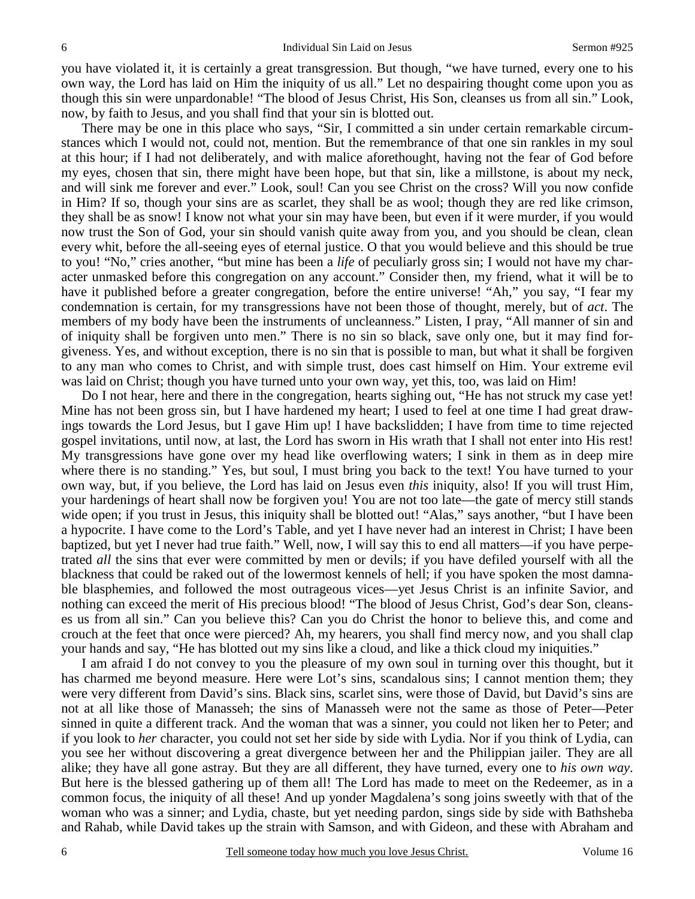you have violated it, it is certainly a great transgression. But though, "we have turned, every one to his own way, the Lord has laid on Him the iniquity of us all." Let no despairing thought come upon you as though this sin were unpardonable! "The blood of Jesus Christ, His Son, cleanses us from all sin." Look, now, by faith to Jesus, and you shall find that your sin is blotted out.

There may be one in this place who says, "Sir, I committed a sin under certain remarkable circumstances which I would not, could not, mention. But the remembrance of that one sin rankles in my soul at this hour; if I had not deliberately, and with malice aforethought, having not the fear of God before my eyes, chosen that sin, there might have been hope, but that sin, like a millstone, is about my neck, and will sink me forever and ever." Look, soul! Can you see Christ on the cross? Will you now confide in Him? If so, though your sins are as scarlet, they shall be as wool; though they are red like crimson, they shall be as snow! I know not what your sin may have been, but even if it were murder, if you would now trust the Son of God, your sin should vanish quite away from you, and you should be clean, clean every whit, before the all-seeing eyes of eternal justice. O that you would believe and this should be true to you! "No," cries another, "but mine has been a *life* of peculiarly gross sin; I would not have my character unmasked before this congregation on any account." Consider then, my friend, what it will be to have it published before a greater congregation, before the entire universe! "Ah," you say, "I fear my condemnation is certain, for my transgressions have not been those of thought, merely, but of *act*. The members of my body have been the instruments of uncleanness." Listen, I pray, "All manner of sin and of iniquity shall be forgiven unto men." There is no sin so black, save only one, but it may find forgiveness. Yes, and without exception, there is no sin that is possible to man, but what it shall be forgiven to any man who comes to Christ, and with simple trust, does cast himself on Him. Your extreme evil was laid on Christ; though you have turned unto your own way, yet this, too, was laid on Him!

Do I not hear, here and there in the congregation, hearts sighing out, "He has not struck my case yet! Mine has not been gross sin, but I have hardened my heart; I used to feel at one time I had great drawings towards the Lord Jesus, but I gave Him up! I have backslidden; I have from time to time rejected gospel invitations, until now, at last, the Lord has sworn in His wrath that I shall not enter into His rest! My transgressions have gone over my head like overflowing waters; I sink in them as in deep mire where there is no standing." Yes, but soul, I must bring you back to the text! You have turned to your own way, but, if you believe, the Lord has laid on Jesus even *this* iniquity, also! If you will trust Him, your hardenings of heart shall now be forgiven you! You are not too late—the gate of mercy still stands wide open; if you trust in Jesus, this iniquity shall be blotted out! "Alas," says another, "but I have been a hypocrite. I have come to the Lord's Table, and yet I have never had an interest in Christ; I have been baptized, but yet I never had true faith." Well, now, I will say this to end all matters—if you have perpetrated *all* the sins that ever were committed by men or devils; if you have defiled yourself with all the blackness that could be raked out of the lowermost kennels of hell; if you have spoken the most damnable blasphemies, and followed the most outrageous vices—yet Jesus Christ is an infinite Savior, and nothing can exceed the merit of His precious blood! "The blood of Jesus Christ, God's dear Son, cleanses us from all sin." Can you believe this? Can you do Christ the honor to believe this, and come and crouch at the feet that once were pierced? Ah, my hearers, you shall find mercy now, and you shall clap your hands and say, "He has blotted out my sins like a cloud, and like a thick cloud my iniquities."

I am afraid I do not convey to you the pleasure of my own soul in turning over this thought, but it has charmed me beyond measure. Here were Lot's sins, scandalous sins; I cannot mention them; they were very different from David's sins. Black sins, scarlet sins, were those of David, but David's sins are not at all like those of Manasseh; the sins of Manasseh were not the same as those of Peter—Peter sinned in quite a different track. And the woman that was a sinner, you could not liken her to Peter; and if you look to *her* character, you could not set her side by side with Lydia. Nor if you think of Lydia, can you see her without discovering a great divergence between her and the Philippian jailer. They are all alike; they have all gone astray. But they are all different, they have turned, every one to *his own way*. But here is the blessed gathering up of them all! The Lord has made to meet on the Redeemer, as in a common focus, the iniquity of all these! And up yonder Magdalena's song joins sweetly with that of the woman who was a sinner; and Lydia, chaste, but yet needing pardon, sings side by side with Bathsheba and Rahab, while David takes up the strain with Samson, and with Gideon, and these with Abraham and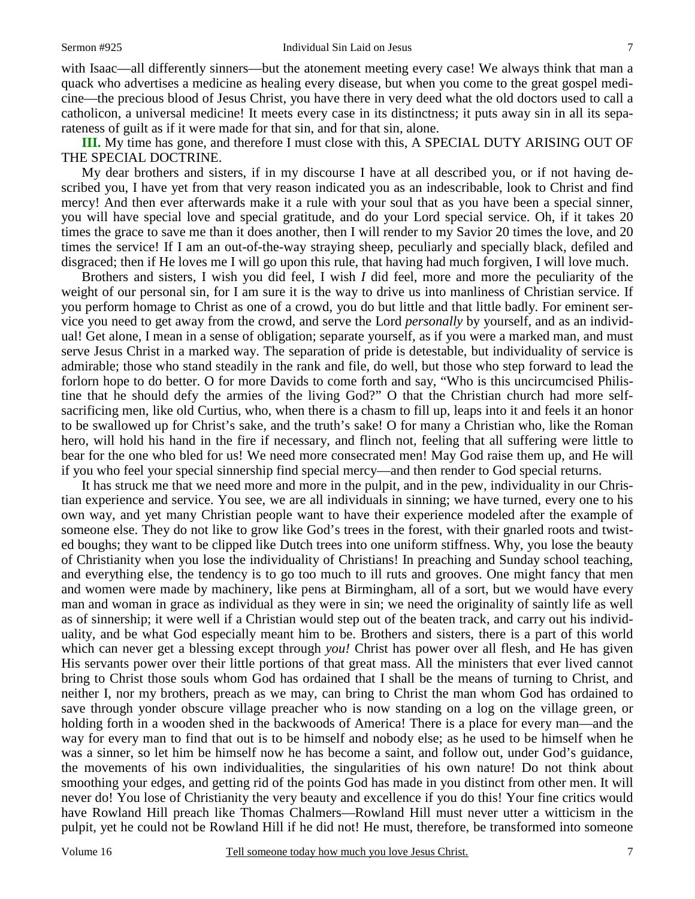with Isaac—all differently sinners—but the atonement meeting every case! We always think that man a quack who advertises a medicine as healing every disease, but when you come to the great gospel medicine—the precious blood of Jesus Christ, you have there in very deed what the old doctors used to call a catholicon, a universal medicine! It meets every case in its distinctness; it puts away sin in all its separateness of guilt as if it were made for that sin, and for that sin, alone.

**III.** My time has gone, and therefore I must close with this, A SPECIAL DUTY ARISING OUT OF THE SPECIAL DOCTRINE.

My dear brothers and sisters, if in my discourse I have at all described you, or if not having described you, I have yet from that very reason indicated you as an indescribable, look to Christ and find mercy! And then ever afterwards make it a rule with your soul that as you have been a special sinner, you will have special love and special gratitude, and do your Lord special service. Oh, if it takes 20 times the grace to save me than it does another, then I will render to my Savior 20 times the love, and 20 times the service! If I am an out-of-the-way straying sheep, peculiarly and specially black, defiled and disgraced; then if He loves me I will go upon this rule, that having had much forgiven, I will love much.

Brothers and sisters, I wish you did feel, I wish *I* did feel, more and more the peculiarity of the weight of our personal sin, for I am sure it is the way to drive us into manliness of Christian service. If you perform homage to Christ as one of a crowd, you do but little and that little badly. For eminent service you need to get away from the crowd, and serve the Lord *personally* by yourself, and as an individual! Get alone, I mean in a sense of obligation; separate yourself, as if you were a marked man, and must serve Jesus Christ in a marked way. The separation of pride is detestable, but individuality of service is admirable; those who stand steadily in the rank and file, do well, but those who step forward to lead the forlorn hope to do better. O for more Davids to come forth and say, "Who is this uncircumcised Philistine that he should defy the armies of the living God?" O that the Christian church had more selfsacrificing men, like old Curtius, who, when there is a chasm to fill up, leaps into it and feels it an honor to be swallowed up for Christ's sake, and the truth's sake! O for many a Christian who, like the Roman hero, will hold his hand in the fire if necessary, and flinch not, feeling that all suffering were little to bear for the one who bled for us! We need more consecrated men! May God raise them up, and He will if you who feel your special sinnership find special mercy—and then render to God special returns.

It has struck me that we need more and more in the pulpit, and in the pew, individuality in our Christian experience and service. You see, we are all individuals in sinning; we have turned, every one to his own way, and yet many Christian people want to have their experience modeled after the example of someone else. They do not like to grow like God's trees in the forest, with their gnarled roots and twisted boughs; they want to be clipped like Dutch trees into one uniform stiffness. Why, you lose the beauty of Christianity when you lose the individuality of Christians! In preaching and Sunday school teaching, and everything else, the tendency is to go too much to ill ruts and grooves. One might fancy that men and women were made by machinery, like pens at Birmingham, all of a sort, but we would have every man and woman in grace as individual as they were in sin; we need the originality of saintly life as well as of sinnership; it were well if a Christian would step out of the beaten track, and carry out his individuality, and be what God especially meant him to be. Brothers and sisters, there is a part of this world which can never get a blessing except through *you!* Christ has power over all flesh, and He has given His servants power over their little portions of that great mass. All the ministers that ever lived cannot bring to Christ those souls whom God has ordained that I shall be the means of turning to Christ, and neither I, nor my brothers, preach as we may, can bring to Christ the man whom God has ordained to save through yonder obscure village preacher who is now standing on a log on the village green, or holding forth in a wooden shed in the backwoods of America! There is a place for every man—and the way for every man to find that out is to be himself and nobody else; as he used to be himself when he was a sinner, so let him be himself now he has become a saint, and follow out, under God's guidance, the movements of his own individualities, the singularities of his own nature! Do not think about smoothing your edges, and getting rid of the points God has made in you distinct from other men. It will never do! You lose of Christianity the very beauty and excellence if you do this! Your fine critics would have Rowland Hill preach like Thomas Chalmers—Rowland Hill must never utter a witticism in the pulpit, yet he could not be Rowland Hill if he did not! He must, therefore, be transformed into someone